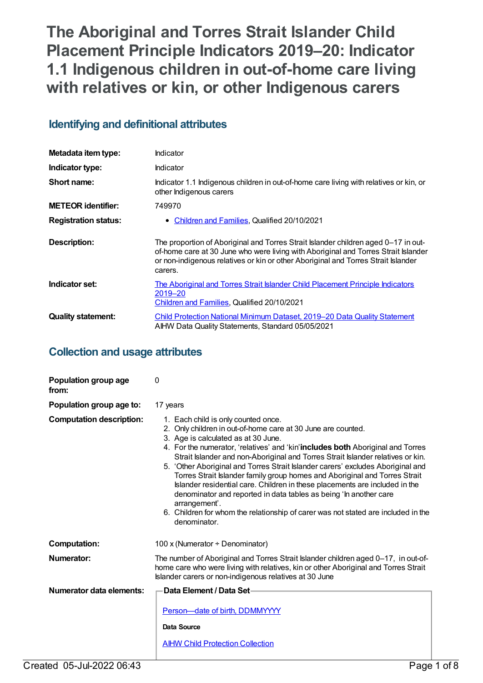# **The Aboriginal and Torres Strait Islander Child Placement Principle Indicators 2019–20: Indicator 1.1 Indigenous children in out-of-home care living with relatives or kin, or other Indigenous carers**

# **Identifying and definitional attributes**

| Metadata item type:         | Indicator                                                                                                                                                                                                                                                                |  |
|-----------------------------|--------------------------------------------------------------------------------------------------------------------------------------------------------------------------------------------------------------------------------------------------------------------------|--|
| Indicator type:             | Indicator                                                                                                                                                                                                                                                                |  |
| Short name:                 | Indicator 1.1 Indigenous children in out-of-home care living with relatives or kin, or<br>other Indigenous carers                                                                                                                                                        |  |
| <b>METEOR</b> identifier:   | 749970                                                                                                                                                                                                                                                                   |  |
| <b>Registration status:</b> | Children and Families, Qualified 20/10/2021<br>$\bullet$                                                                                                                                                                                                                 |  |
| Description:                | The proportion of Aboriginal and Torres Strait Islander children aged 0–17 in out-<br>of-home care at 30 June who were living with Aboriginal and Torres Strait Islander<br>or non-indigenous relatives or kin or other Aboriginal and Torres Strait Islander<br>carers. |  |
| Indicator set:              | The Aboriginal and Torres Strait Islander Child Placement Principle Indicators<br>2019-20<br>Children and Families, Qualified 20/10/2021                                                                                                                                 |  |
| <b>Quality statement:</b>   | Child Protection National Minimum Dataset, 2019–20 Data Quality Statement<br>AIHW Data Quality Statements, Standard 05/05/2021                                                                                                                                           |  |

# **Collection and usage attributes**

| Population group age<br>from:   | 0                                                                                                                                                                                                                                                                                                                                                                                                                                                                                                                                                                                                                                                                                                                                                                  |
|---------------------------------|--------------------------------------------------------------------------------------------------------------------------------------------------------------------------------------------------------------------------------------------------------------------------------------------------------------------------------------------------------------------------------------------------------------------------------------------------------------------------------------------------------------------------------------------------------------------------------------------------------------------------------------------------------------------------------------------------------------------------------------------------------------------|
| Population group age to:        | 17 years                                                                                                                                                                                                                                                                                                                                                                                                                                                                                                                                                                                                                                                                                                                                                           |
| <b>Computation description:</b> | 1. Each child is only counted once.<br>2. Only children in out-of-home care at 30 June are counted.<br>3. Age is calculated as at 30 June.<br>4. For the numerator, 'relatives' and 'kin' <b>includes both</b> Aboriginal and Torres<br>Strait Islander and non-Aboriginal and Torres Strait Islander relatives or kin.<br>5. 'Other Aboriginal and Torres Strait Islander carers' excludes Aboriginal and<br>Torres Strait Islander family group homes and Aboriginal and Torres Strait<br>Islander residential care. Children in these placements are included in the<br>denominator and reported in data tables as being 'In another care<br>arrangement'.<br>6. Children for whom the relationship of carer was not stated are included in the<br>denominator. |
| <b>Computation:</b>             | 100 x (Numerator $\div$ Denominator)                                                                                                                                                                                                                                                                                                                                                                                                                                                                                                                                                                                                                                                                                                                               |
| Numerator:                      | The number of Aboriginal and Torres Strait Islander children aged 0-17, in out-of-<br>home care who were living with relatives, kin or other Aboriginal and Torres Strait<br>Islander carers or non-indigenous relatives at 30 June                                                                                                                                                                                                                                                                                                                                                                                                                                                                                                                                |
| Numerator data elements:        | Data Element / Data Set-                                                                                                                                                                                                                                                                                                                                                                                                                                                                                                                                                                                                                                                                                                                                           |
|                                 | Person-date of birth, DDMMYYYY                                                                                                                                                                                                                                                                                                                                                                                                                                                                                                                                                                                                                                                                                                                                     |
|                                 | Data Source                                                                                                                                                                                                                                                                                                                                                                                                                                                                                                                                                                                                                                                                                                                                                        |
|                                 | <b>AIHW Child Protection Collection</b>                                                                                                                                                                                                                                                                                                                                                                                                                                                                                                                                                                                                                                                                                                                            |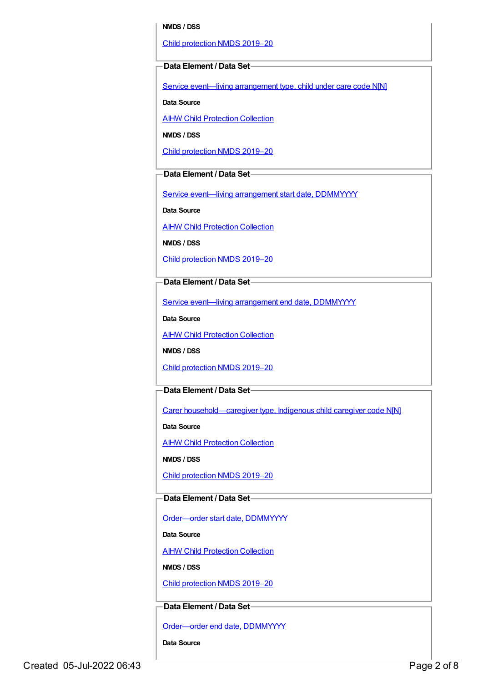#### **NMDS / DSS**

Child [protection](https://meteor.aihw.gov.au/content/740158) NMDS 2019–20

#### **Data Element / Data Set**

Service event—living [arrangement](https://meteor.aihw.gov.au/content/689331) type, child under care code N[N]

**Data Source**

**AIHW Child [Protection](https://meteor.aihw.gov.au/content/489543) Collection** 

**NMDS / DSS**

Child [protection](https://meteor.aihw.gov.au/content/740158) NMDS 2019–20

## **Data Element / Data Set**

Service event-living [arrangement](https://meteor.aihw.gov.au/content/474217) start date, DDMMYYYY

**Data Source**

AIHW Child [Protection](https://meteor.aihw.gov.au/content/489543) Collection

**NMDS / DSS**

Child [protection](https://meteor.aihw.gov.au/content/740158) NMDS 2019–20

## **Data Element / Data Set**

Service event—living [arrangement](https://meteor.aihw.gov.au/content/474223) end date, DDMMYYYY

**Data Source**

**AIHW Child [Protection](https://meteor.aihw.gov.au/content/489543) Collection** 

**NMDS / DSS**

Child [protection](https://meteor.aihw.gov.au/content/740158) NMDS 2019–20

#### **Data Element / Data Set**

Carer [household—caregiver](https://meteor.aihw.gov.au/content/524944) type, Indigenous child caregiver code N[N]

**Data Source**

**AIHW Child [Protection](https://meteor.aihw.gov.au/content/489543) Collection** 

**NMDS / DSS**

Child [protection](https://meteor.aihw.gov.au/content/740158) NMDS 2019–20

#### **Data Element / Data Set**

Order-order start date, DDMMYYYY

**Data Source**

AIHW Child [Protection](https://meteor.aihw.gov.au/content/489543) Collection

**NMDS / DSS**

Child [protection](https://meteor.aihw.gov.au/content/740158) NMDS 2019–20

#### **Data Element / Data Set**

[Order—order](https://meteor.aihw.gov.au/content/536554) end date, DDMMYYYY

**Data Source**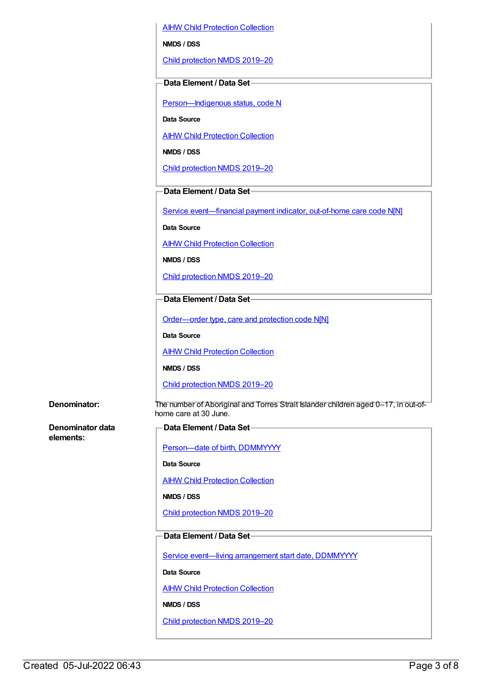AIHW Child [Protection](https://meteor.aihw.gov.au/content/489543) Collection

**NMDS / DSS**

Child [protection](https://meteor.aihw.gov.au/content/740158) NMDS 2019–20

#### **Data Element / Data Set**

[Person—Indigenous](https://meteor.aihw.gov.au/content/602543) status, code N

**Data Source**

**AIHW Child [Protection](https://meteor.aihw.gov.au/content/489543) Collection** 

**NMDS / DSS**

Child [protection](https://meteor.aihw.gov.au/content/740158) NMDS 2019–20

#### **Data Element / Data Set**

Service [event—financial](https://meteor.aihw.gov.au/content/652697) payment indicator, out-of-home care code N[N]

**Data Source**

AIHW Child [Protection](https://meteor.aihw.gov.au/content/489543) Collection

**NMDS / DSS**

Child [protection](https://meteor.aihw.gov.au/content/740158) NMDS 2019–20

#### **Data Element / Data Set**

[Order—order](https://meteor.aihw.gov.au/content/657300) type, care and protection code N[N]

**Data Source**

**AIHW Child [Protection](https://meteor.aihw.gov.au/content/489543) Collection** 

**NMDS / DSS**

Child [protection](https://meteor.aihw.gov.au/content/740158) NMDS 2019–20

**Denominator:** The number of Aboriginal and Torres Strait Islander children aged 0–17, in out-ofhome care at 30 June.

**Denominator data elements:**

| <b>←Data Element / Data Set-</b> |
|----------------------------------|
|----------------------------------|

Person-date of birth, DDMMYYYY

**Data Source**

AIHW Child [Protection](https://meteor.aihw.gov.au/content/489543) Collection

**NMDS / DSS**

Child [protection](https://meteor.aihw.gov.au/content/740158) NMDS 2019–20

## **Data Element / Data Set**

Service event-living [arrangement](https://meteor.aihw.gov.au/content/474217) start date, DDMMYYYY

**Data Source**

**AIHW Child [Protection](https://meteor.aihw.gov.au/content/489543) Collection** 

**NMDS / DSS**

Child [protection](https://meteor.aihw.gov.au/content/740158) NMDS 2019–20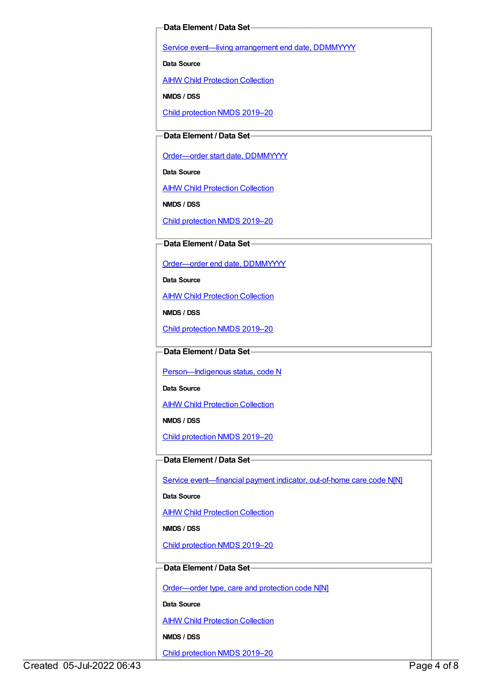#### **Data Element / Data Set**

Service event-living [arrangement](https://meteor.aihw.gov.au/content/474223) end date, DDMMYYYY

**Data Source**

AIHW Child [Protection](https://meteor.aihw.gov.au/content/489543) Collection

**NMDS / DSS**

Child [protection](https://meteor.aihw.gov.au/content/740158) NMDS 2019–20

#### **Data Element / Data Set**

[Order—order](https://meteor.aihw.gov.au/content/536550) start date, DDMMYYYY

**Data Source**

**AIHW Child [Protection](https://meteor.aihw.gov.au/content/489543) Collection** 

**NMDS / DSS**

Child [protection](https://meteor.aihw.gov.au/content/740158) NMDS 2019–20

#### **Data Element / Data Set**

[Order—order](https://meteor.aihw.gov.au/content/536554) end date, DDMMYYYY

**Data Source**

**AIHW Child [Protection](https://meteor.aihw.gov.au/content/489543) Collection** 

**NMDS / DSS**

Child [protection](https://meteor.aihw.gov.au/content/740158) NMDS 2019–20

**Data Element / Data Set**

Person-Indigenous status, code N

**Data Source**

AIHW Child [Protection](https://meteor.aihw.gov.au/content/489543) Collection

**NMDS / DSS**

Child [protection](https://meteor.aihw.gov.au/content/740158) NMDS 2019–20

## **Data Element / Data Set**

Service event-financial payment indicator, out-of-home care code N[N]

**Data Source**

**AIHW Child [Protection](https://meteor.aihw.gov.au/content/489543) Collection** 

**NMDS / DSS**

Child [protection](https://meteor.aihw.gov.au/content/740158) NMDS 2019–20

#### **Data Element / Data Set**

[Order—order](https://meteor.aihw.gov.au/content/657300) type, care and protection code N[N]

**Data Source**

**AIHW Child [Protection](https://meteor.aihw.gov.au/content/489543) Collection** 

**NMDS / DSS**

Child [protection](https://meteor.aihw.gov.au/content/740158) NMDS 2019–20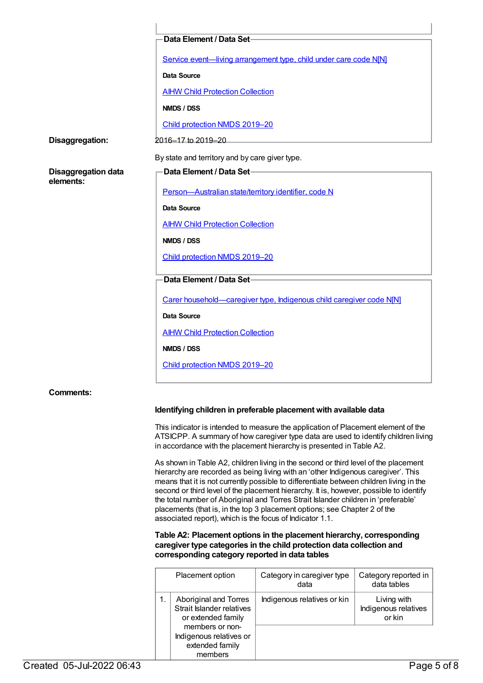|                                         | Data Element / Data Set-                                             |  |
|-----------------------------------------|----------------------------------------------------------------------|--|
|                                         | Service event-living arrangement type, child under care code N[N]    |  |
|                                         | Data Source                                                          |  |
|                                         | <b>AIHW Child Protection Collection</b>                              |  |
|                                         | NMDS / DSS                                                           |  |
|                                         | Child protection NMDS 2019-20                                        |  |
| Disaggregation:                         | 2016-17 to 2019-20                                                   |  |
|                                         | By state and territory and by care giver type.                       |  |
| <b>Disaggregation data</b><br>elements: | Data Element / Data Set-                                             |  |
|                                         | Person-Australian state/territory identifier, code N                 |  |
|                                         | <b>Data Source</b>                                                   |  |
|                                         | <b>AIHW Child Protection Collection</b>                              |  |
|                                         | NMDS / DSS                                                           |  |
|                                         | Child protection NMDS 2019-20                                        |  |
|                                         | Data Element / Data Set-                                             |  |
|                                         |                                                                      |  |
|                                         | Carer household-caregiver type, Indigenous child caregiver code N[N] |  |
|                                         | Data Source                                                          |  |
|                                         | <b>AIHW Child Protection Collection</b>                              |  |
|                                         | NMDS / DSS                                                           |  |
|                                         | Child protection NMDS 2019-20                                        |  |
|                                         |                                                                      |  |
| <b>Comments:</b>                        |                                                                      |  |
|                                         |                                                                      |  |

#### **Identifying children in preferable placement with available data**

This indicator is intended to measure the application of Placement element of the ATSICPP. A summary of how caregiver type data are used to identify children living in accordance with the placement hierarchy is presented in Table A2.

As shown in Table A2, children living in the second or third level of the placement hierarchy are recorded as being living with an 'other Indigenous caregiver'. This means that it is not currently possible to differentiate between children living in the second or third level of the placement hierarchy. It is, however, possible to identify the total number of Aboriginal and Torres Strait Islander children in 'preferable' placements (that is, in the top 3 placement options; see Chapter 2 of the associated report), which is the focus of Indicator 1.1.

#### **Table A2: Placement options in the placement hierarchy, corresponding caregiver type categories in the child protection data collection and corresponding category reported in data tables**

| Placement option                                                         | Category in caregiver type<br>data | Category reported in<br>data tables           |
|--------------------------------------------------------------------------|------------------------------------|-----------------------------------------------|
| Aboriginal and Torres<br>Strait Islander relatives<br>or extended family | Indigenous relatives or kin        | Living with<br>Indigenous relatives<br>or kin |
| members or non-<br>Indigenous relatives or<br>extended family<br>members |                                    |                                               |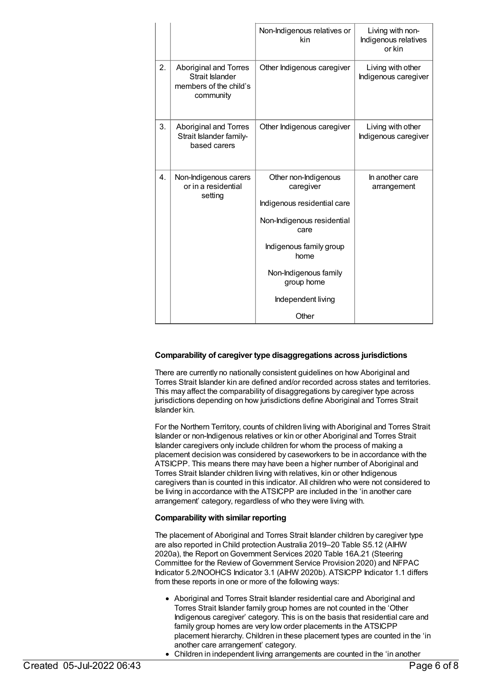|    |                                                                                 | Non-Indigenous relatives or<br>kin                                                                                                                                                                              | Living with non-<br>Indigenous relatives<br>or kin |
|----|---------------------------------------------------------------------------------|-----------------------------------------------------------------------------------------------------------------------------------------------------------------------------------------------------------------|----------------------------------------------------|
| 2. | Aboriginal and Torres<br>Strait Islander<br>members of the child's<br>community | Other Indigenous caregiver                                                                                                                                                                                      | Living with other<br>Indigenous caregiver          |
| 3. | Aboriginal and Torres<br>Strait Islander family-<br>based carers                | Other Indigenous caregiver                                                                                                                                                                                      | Living with other<br>Indigenous caregiver          |
| 4. | Non-Indigenous carers<br>or in a residential<br>setting                         | Other non-Indigenous<br>caregiver<br>Indigenous residential care<br>Non-Indigenous residential<br>care<br>Indigenous family group<br>home<br>Non-Indigenous family<br>group home<br>Independent living<br>Other | In another care<br>arrangement                     |

#### **Comparability of caregiver type disaggregations across jurisdictions**

There are currently no nationally consistent guidelines on how Aboriginal and Torres Strait Islander kin are defined and/or recorded across states and territories. This may affect the comparability of disaggregations by caregiver type across jurisdictions depending on how jurisdictions define Aboriginal and Torres Strait Islander kin.

For the Northern Territory, counts of children living with Aboriginal and Torres Strait Islander or non-Indigenous relatives or kin or other Aboriginal and Torres Strait Islander caregivers only include children for whom the process of making a placement decision was considered by caseworkers to be in accordance with the ATSICPP. This means there may have been a higher number of Aboriginal and Torres Strait Islander children living with relatives, kin or other Indigenous caregivers than is counted in this indicator. All children who were not considered to be living in accordance with the ATSICPP are included in the 'in another care arrangement' category, regardless of who they were living with.

#### **Comparability with similar reporting**

The placement of Aboriginal and Torres Strait Islander children by caregiver type are also reported in Child protection Australia 2019–20 Table S5.12 (AIHW 2020a), the Report on Government Services 2020 Table 16A.21 (Steering Committee for the Review of Government Service Provision 2020) and NFPAC Indicator 5.2/NOOHCS Indicator 3.1 (AIHW 2020b). ATSICPP Indicator 1.1 differs from these reports in one or more of the following ways:

- Aboriginal and Torres Strait Islander residential care and Aboriginal and Torres Strait Islander family group homes are not counted in the 'Other Indigenous caregiver' category. This is on the basis that residential care and family group homes are very low order placements in the ATSICPP placement hierarchy. Children in these placement types are counted in the 'in another care arrangement' category.
- Children in independent living arrangements are counted in the 'in another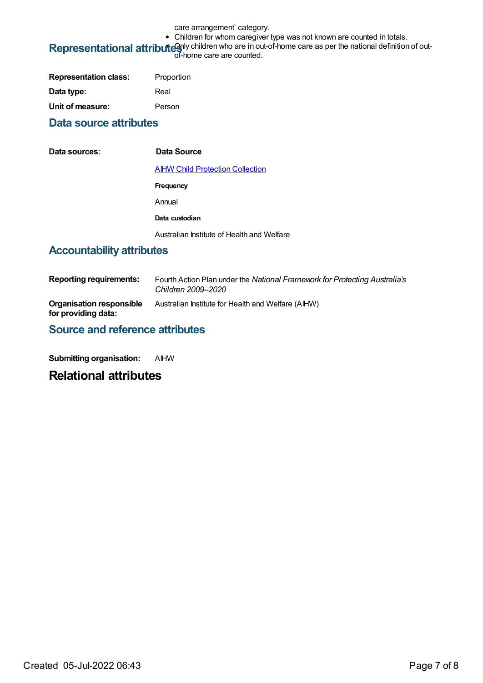care arrangement' category.

• Children for whom caregiver type was not known are counted in totals.

# Representational attributes of hildren who are in out-of-home care as per the national definition of out-<br>of-home care are counted.

| <b>Representation class:</b> | Proportion |
|------------------------------|------------|
| Data type:                   | Real       |
| Unit of measure:             | Person     |

## **Data source attributes**

| Data sources: | Data Source                                |
|---------------|--------------------------------------------|
|               | <b>AIHW Child Protection Collection</b>    |
|               | Frequency                                  |
|               | Annual                                     |
|               | Data custodian                             |
|               | Australian Institute of Health and Welfare |

# **Accountability attributes**

| <b>Reporting requirements:</b>                  | Fourth Action Plan under the National Framework for Protecting Australia's<br>Children 2009–2020 |
|-------------------------------------------------|--------------------------------------------------------------------------------------------------|
| Organisation responsible<br>for providing data: | Australian Institute for Health and Welfare (AIHW)                                               |

## **Source and reference attributes**

**Submitting organisation:** AIHW

# **Relational attributes**